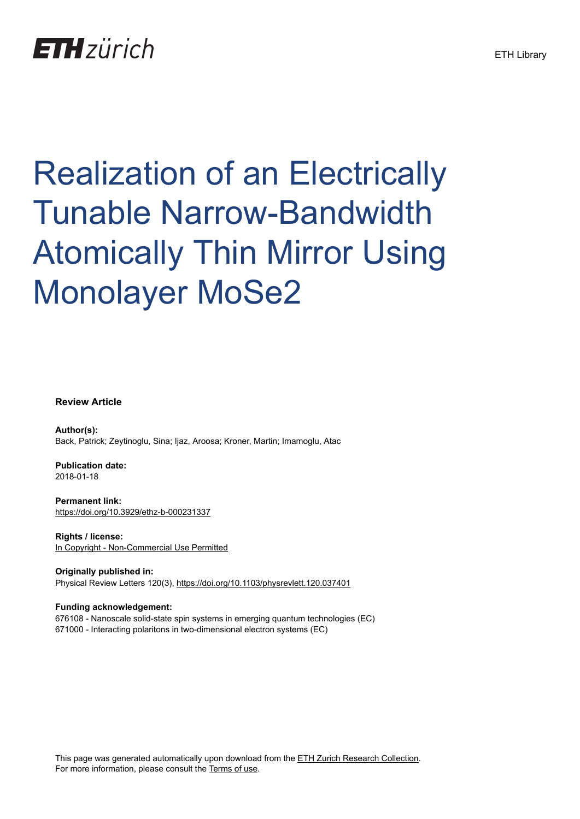## **ETH** zürich

# Realization of an Electrically Tunable Narrow-Bandwidth Atomically Thin Mirror Using Monolayer MoSe2

#### **Review Article**

**Author(s):** Back, Patrick; Zeytinoglu, Sina; Ijaz, Aroosa; Kroner, Martin; Imamoglu, Atac

**Publication date:** 2018-01-18

**Permanent link:** <https://doi.org/10.3929/ethz-b-000231337>

**Rights / license:** [In Copyright - Non-Commercial Use Permitted](http://rightsstatements.org/page/InC-NC/1.0/)

**Originally published in:** Physical Review Letters 120(3),<https://doi.org/10.1103/physrevlett.120.037401>

#### **Funding acknowledgement:**

676108 - Nanoscale solid-state spin systems in emerging quantum technologies (EC) 671000 - Interacting polaritons in two-dimensional electron systems (EC)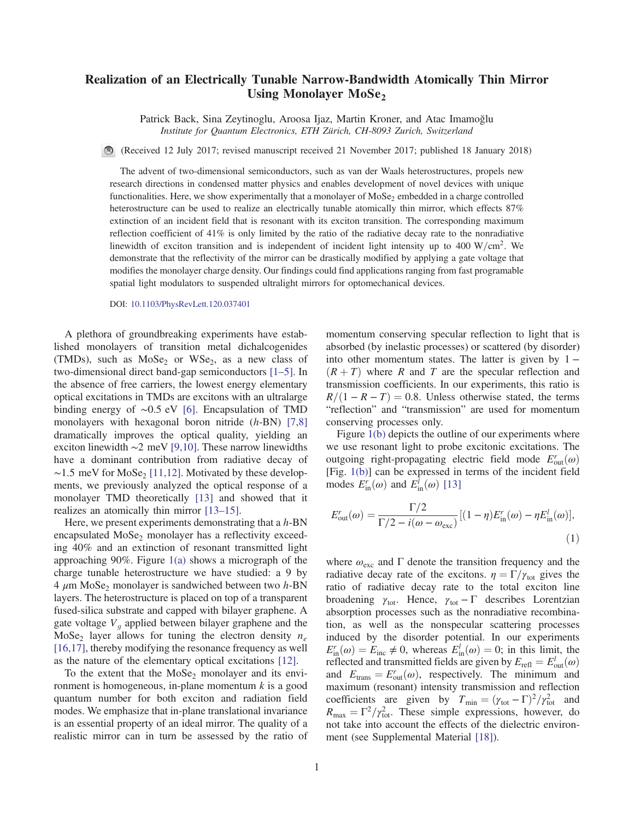### Realization of an Electrically Tunable Narrow-Bandwidth Atomically Thin Mirror Using Monolayer  $MoSe<sub>2</sub>$

Patrick Back, Sina Zeytinoglu, Aroosa Ijaz, Martin Kroner, and Atac Imamoğlu Institute for Quantum Electronics, ETH Zürich, CH-8093 Zurich, Switzerland

(Received 12 July 2017; revised manuscript received 21 November 2017; published 18 January 2018)

The advent of two-dimensional semiconductors, such as van der Waals heterostructures, propels new research directions in condensed matter physics and enables development of novel devices with unique functionalities. Here, we show experimentally that a monolayer of  $M_0S_2$  embedded in a charge controlled heterostructure can be used to realize an electrically tunable atomically thin mirror, which effects 87% extinction of an incident field that is resonant with its exciton transition. The corresponding maximum reflection coefficient of 41% is only limited by the ratio of the radiative decay rate to the nonradiative linewidth of exciton transition and is independent of incident light intensity up to 400 W/cm<sup>2</sup>. We demonstrate that the reflectivity of the mirror can be drastically modified by applying a gate voltage that modifies the monolayer charge density. Our findings could find applications ranging from fast programable spatial light modulators to suspended ultralight mirrors for optomechanical devices.

DOI: [10.1103/PhysRevLett.120.037401](https://doi.org/10.1103/PhysRevLett.120.037401)

A plethora of groundbreaking experiments have established monolayers of transition metal dichalcogenides (TMDs), such as  $MoSe<sub>2</sub>$  or WSe<sub>2</sub>, as a new class of two-dimensional direct band-gap semiconductors [1–[5\].](#page-5-0) In the absence of free carriers, the lowest energy elementary optical excitations in TMDs are excitons with an ultralarge binding energy of ∼0.5 eV [\[6\].](#page-5-1) Encapsulation of TMD monolayers with hexagonal boron nitride (h-BN) [\[7,8\]](#page-5-2) dramatically improves the optical quality, yielding an exciton linewidth ∼2 meV [\[9,10\]](#page-5-3). These narrow linewidths have a dominant contribution from radiative decay of  $~\sim$ 1.5 meV for MoSe<sub>2</sub> [\[11,12\].](#page-5-4) Motivated by these developments, we previously analyzed the optical response of a monolayer TMD theoretically [\[13\]](#page-5-5) and showed that it realizes an atomically thin mirror [13–[15\].](#page-5-5)

Here, we present experiments demonstrating that a  $h$ -BN encapsulated  $MoSe<sub>2</sub>$  monolayer has a reflectivity exceeding 40% and an extinction of resonant transmitted light approaching 90%. Figure [1\(a\)](#page-2-0) shows a micrograph of the charge tunable heterostructure we have studied: a 9 by  $4 \mu m \text{ MoSe}_2$  monolayer is sandwiched between two  $h$ -BN layers. The heterostructure is placed on top of a transparent fused-silica substrate and capped with bilayer graphene. A gate voltage  $V<sub>q</sub>$  applied between bilayer graphene and the MoSe<sub>2</sub> layer allows for tuning the electron density  $n_e$ [\[16,17\]](#page-5-6), thereby modifying the resonance frequency as well as the nature of the elementary optical excitations [\[12\].](#page-5-7)

To the extent that the MoSe<sub>2</sub> monolayer and its environment is homogeneous, in-plane momentum  $k$  is a good quantum number for both exciton and radiation field modes. We emphasize that in-plane translational invariance is an essential property of an ideal mirror. The quality of a realistic mirror can in turn be assessed by the ratio of momentum conserving specular reflection to light that is absorbed (by inelastic processes) or scattered (by disorder) into other momentum states. The latter is given by  $1 (R + T)$  where R and T are the specular reflection and transmission coefficients. In our experiments, this ratio is  $R/(1 - R - T) = 0.8$ . Unless otherwise stated, the terms "reflection" and "transmission" are used for momentum conserving processes only.

Figure [1\(b\)](#page-2-0) depicts the outline of our experiments where we use resonant light to probe excitonic excitations. The outgoing right-propagating electric field mode  $E_{\text{out}}^r(\omega)$ <br>(Fig. 1(b)] can be expressed in terms of the incident field [Fig. [1\(b\)\]](#page-2-0) can be expressed in terms of the incident field modes  $E_{\text{in}}^r(\omega)$  and  $E_{\text{in}}^l(\omega)$  [\[13\]](#page-5-5)

$$
E_{\text{out}}^r(\omega) = \frac{\Gamma/2}{\Gamma/2 - i(\omega - \omega_{\text{exc}})} [(1 - \eta)E_{\text{in}}^r(\omega) - \eta E_{\text{in}}^l(\omega)],
$$
\n(1)

where  $\omega_{\text{exc}}$  and  $\Gamma$  denote the transition frequency and the radiative decay rate of the excitons.  $\eta = \Gamma/\gamma_{tot}$  gives the ratio of radiative decay rate to the total exciton line broadening  $\gamma_{\text{tot}}$ . Hence,  $\gamma_{\text{tot}} - \Gamma$  describes Lorentzian absorption processes such as the nonradiative recombination, as well as the nonspecular scattering processes induced by the disorder potential. In our experiments  $E_{\text{in}}(\omega) = E_{\text{inc}} \neq 0$ , whereas  $E_{\text{in}}(\omega) = 0$ , in this limit, the<br>reflected and transmitted fields are given by  $E_{\text{refl}} = E_{\text{out}}^l(\omega)$ <br>and  $E_{\text{out}} = E_{\text{out}}^r(\omega)$  respectively. The minimum and  $I_{\text{in}}^{r}(\omega) = E_{\text{inc}} \neq 0$ , whereas  $E_{\text{in}}^{l}(\omega) = 0$ ; in this limit, the intervals of the intervals of the intervals of  $E_{\text{in}} = F^{l}(\omega)$ and  $E_{\text{trans}} = E_{\text{out}}'(\omega)$ , respectively. The minimum and maximum (resonant) intensity transmission and reflection maximum (resonant) intensity transmission and reflection coefficients are given by  $T_{\text{min}} = (\gamma_{\text{tot}} - \Gamma)^2 / \gamma_{\text{tot}}^2$  and<br>  $R = \Gamma^2 / \gamma^2$  These simple expressions however do  $R_{\text{max}} = \Gamma^2 / \gamma_{\text{tot}}^2$ . These simple expressions, however, do not take into account the effects of the dielectric environnot take into account the effects of the dielectric environment (see Supplemental Material [\[18\]](#page-5-8)).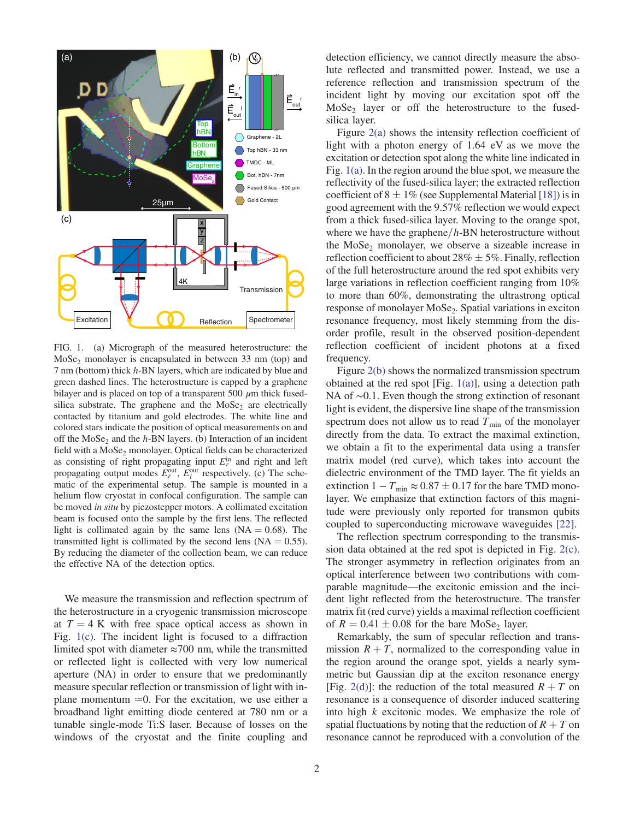<span id="page-2-0"></span>

FIG. 1. (a) Micrograph of the measured heterostructure: the  $MoSe<sub>2</sub> monolayer is encapsulated in between 33 nm (top) and$ 7 nm (bottom) thick h-BN layers, which are indicated by blue and green dashed lines. The heterostructure is capped by a graphene bilayer and is placed on top of a transparent 500  $\mu$ m thick fusedsilica substrate. The graphene and the  $MoSe<sub>2</sub>$  are electrically contacted by titanium and gold electrodes. The white line and colored stars indicate the position of optical measurements on and off the  $MoSe<sub>2</sub>$  and the h-BN layers. (b) Interaction of an incident field with a  $MoSe<sub>2</sub>$  monolayer. Optical fields can be characterized as consisting of right propagating input  $E_r^{\text{in}}$  and right and left<br>propagating output modes  $F_{\text{out}}^{\text{out}}$  respectively (c) The schepropagating output modes  $E_r^{\text{out}}$ ,  $E_l^{\text{out}}$  respectively. (c) The sche-<br>matic of the experimental setup. The sample is mounted in a matic of the experimental setup. The sample is mounted in a helium flow cryostat in confocal configuration. The sample can be moved in situ by piezostepper motors. A collimated excitation beam is focused onto the sample by the first lens. The reflected light is collimated again by the same lens  $(NA = 0.68)$ . The transmitted light is collimated by the second lens  $(NA = 0.55)$ . By reducing the diameter of the collection beam, we can reduce the effective NA of the detection optics.

We measure the transmission and reflection spectrum of the heterostructure in a cryogenic transmission microscope at  $T = 4$  K with free space optical access as shown in Fig. [1\(c\)](#page-2-0). The incident light is focused to a diffraction limited spot with diameter  $\approx$ 700 nm, while the transmitted or reflected light is collected with very low numerical aperture (NA) in order to ensure that we predominantly measure specular reflection or transmission of light with inplane momentum  $\simeq 0$ . For the excitation, we use either a broadband light emitting diode centered at 780 nm or a tunable single-mode Ti:S laser. Because of losses on the windows of the cryostat and the finite coupling and

Figure [2\(a\)](#page-3-0) shows the intensity reflection coefficient of light with a photon energy of 1.64 eV as we move the excitation or detection spot along the white line indicated in Fig. [1\(a\)](#page-2-0). In the region around the blue spot, we measure the reflectivity of the fused-silica layer; the extracted reflection coefficient of  $8 \pm 1\%$  (see Supplemental Material [\[18\]\)](#page-5-8) is in good agreement with the 9.57% reflection we would expect from a thick fused-silica layer. Moving to the orange spot, where we have the graphene $/h$ -BN heterostructure without the  $MoSe<sub>2</sub>$  monolayer, we observe a sizeable increase in reflection coefficient to about 28%  $\pm$  5%. Finally, reflection of the full heterostructure around the red spot exhibits very large variations in reflection coefficient ranging from 10% to more than 60%, demonstrating the ultrastrong optical response of monolayer MoSe<sub>2</sub>. Spatial variations in exciton resonance frequency, most likely stemming from the disorder profile, result in the observed position-dependent reflection coefficient of incident photons at a fixed frequency.

Figure [2\(b\)](#page-3-0) shows the normalized transmission spectrum obtained at the red spot [Fig.  $1(a)$ ], using a detection path NA of ∼0.1. Even though the strong extinction of resonant light is evident, the dispersive line shape of the transmission spectrum does not allow us to read  $T_{\text{min}}$  of the monolayer directly from the data. To extract the maximal extinction, we obtain a fit to the experimental data using a transfer matrix model (red curve), which takes into account the dielectric environment of the TMD layer. The fit yields an extinction  $1 - T_{\text{min}} \approx 0.87 \pm 0.17$  for the bare TMD monolayer. We emphasize that extinction factors of this magnitude were previously only reported for transmon qubits coupled to superconducting microwave waveguides [\[22\].](#page-5-9)

The reflection spectrum corresponding to the transmission data obtained at the red spot is depicted in Fig. [2\(c\)](#page-3-0). The stronger asymmetry in reflection originates from an optical interference between two contributions with comparable magnitude—the excitonic emission and the incident light reflected from the heterostructure. The transfer matrix fit (red curve) yields a maximal reflection coefficient of  $R = 0.41 \pm 0.08$  for the bare MoSe<sub>2</sub> layer.

Remarkably, the sum of specular reflection and transmission  $R + T$ , normalized to the corresponding value in the region around the orange spot, yields a nearly symmetric but Gaussian dip at the exciton resonance energy [Fig. [2\(d\)\]](#page-3-0): the reduction of the total measured  $R + T$  on resonance is a consequence of disorder induced scattering into high k excitonic modes. We emphasize the role of spatial fluctuations by noting that the reduction of  $R + T$  on resonance cannot be reproduced with a convolution of the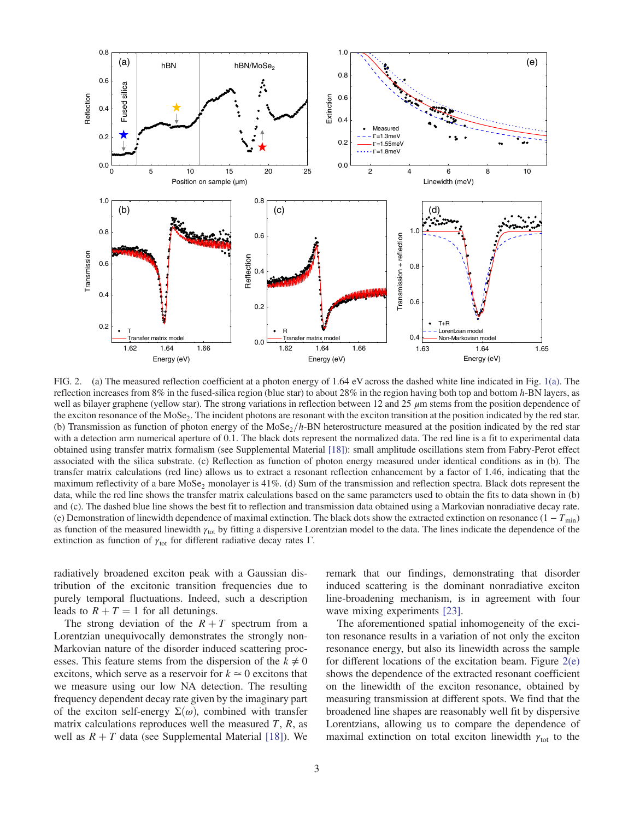<span id="page-3-0"></span>

FIG. 2. (a) The measured reflection coefficient at a photon energy of 1.64 eV across the dashed white line indicated in Fig. [1\(a\).](#page-2-0) The reflection increases from 8% in the fused-silica region (blue star) to about 28% in the region having both top and bottom  $h$ -BN layers, as well as bilayer graphene (yellow star). The strong variations in reflection between 12 and 25  $\mu$ m stems from the position dependence of the exciton resonance of the MoSe<sub>2</sub>. The incident photons are resonant with the exciton transition at the position indicated by the red star. (b) Transmission as function of photon energy of the MoSe<sub>2</sub>/h-BN heterostructure measured at the position indicated by the red star with a detection arm numerical aperture of 0.1. The black dots represent the normalized data. The red line is a fit to experimental data obtained using transfer matrix formalism (see Supplemental Material [\[18\]\)](#page-5-8): small amplitude oscillations stem from Fabry-Perot effect associated with the silica substrate. (c) Reflection as function of photon energy measured under identical conditions as in (b). The transfer matrix calculations (red line) allows us to extract a resonant reflection enhancement by a factor of 1.46, indicating that the maximum reflectivity of a bare  $Mose_2$  monolayer is 41%. (d) Sum of the transmission and reflection spectra. Black dots represent the data, while the red line shows the transfer matrix calculations based on the same parameters used to obtain the fits to data shown in (b) and (c). The dashed blue line shows the best fit to reflection and transmission data obtained using a Markovian nonradiative decay rate. (e) Demonstration of linewidth dependence of maximal extinction. The black dots show the extracted extinction on resonance  $(1 - T_{min})$ as function of the measured linewidth  $\gamma_{tot}$  by fitting a dispersive Lorentzian model to the data. The lines indicate the dependence of the extinction as function of  $\gamma_{\text{tot}}$  for different radiative decay rates Γ.

radiatively broadened exciton peak with a Gaussian distribution of the excitonic transition frequencies due to purely temporal fluctuations. Indeed, such a description leads to  $R + T = 1$  for all detunings.

The strong deviation of the  $R + T$  spectrum from a Lorentzian unequivocally demonstrates the strongly non-Markovian nature of the disorder induced scattering processes. This feature stems from the dispersion of the  $k \neq 0$ excitons, which serve as a reservoir for  $k \approx 0$  excitons that we measure using our low NA detection. The resulting frequency dependent decay rate given by the imaginary part of the exciton self-energy  $\Sigma(\omega)$ , combined with transfer matrix calculations reproduces well the measured  $T$ ,  $R$ , as well as  $R + T$  data (see Supplemental Material [\[18\]\)](#page-5-8). We remark that our findings, demonstrating that disorder induced scattering is the dominant nonradiative exciton line-broadening mechanism, is in agreement with four wave mixing experiments [\[23\]](#page-5-10).

The aforementioned spatial inhomogeneity of the exciton resonance results in a variation of not only the exciton resonance energy, but also its linewidth across the sample for different locations of the excitation beam. Figure  $2(e)$ shows the dependence of the extracted resonant coefficient on the linewidth of the exciton resonance, obtained by measuring transmission at different spots. We find that the broadened line shapes are reasonably well fit by dispersive Lorentzians, allowing us to compare the dependence of maximal extinction on total exciton linewidth  $\gamma_{\text{tot}}$  to the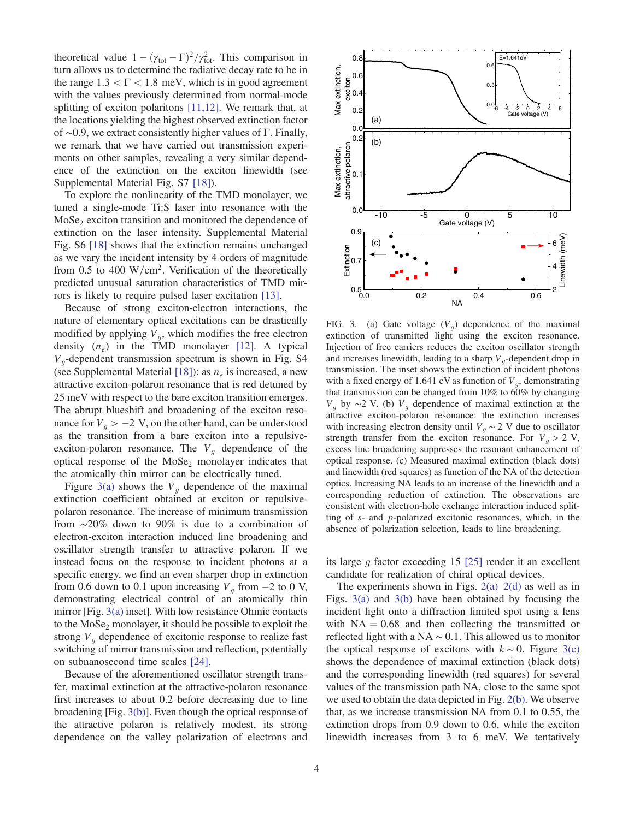theoretical value  $1 - (\gamma_{tot} - \Gamma)^2 / \gamma_{tot}^2$ . This comparison in<br>turn allows us to determine the radiative decay rate to be in turn allows us to determine the radiative decay rate to be in the range  $1.3 < \Gamma < 1.8$  meV, which is in good agreement with the values previously determined from normal-mode splitting of exciton polaritons [\[11,12\]](#page-5-4). We remark that, at the locations yielding the highest observed extinction factor of ∼0.9, we extract consistently higher values of Γ. Finally, we remark that we have carried out transmission experiments on other samples, revealing a very similar dependence of the extinction on the exciton linewidth (see Supplemental Material Fig. S7 [\[18\]](#page-5-8)).

To explore the nonlinearity of the TMD monolayer, we tuned a single-mode Ti:S laser into resonance with the  $MoSe<sub>2</sub>$  exciton transition and monitored the dependence of extinction on the laser intensity. Supplemental Material Fig. S6 [\[18\]](#page-5-8) shows that the extinction remains unchanged as we vary the incident intensity by 4 orders of magnitude from 0.5 to 400 W/cm<sup>2</sup>. Verification of the theoretically predicted unusual saturation characteristics of TMD mirrors is likely to require pulsed laser excitation [\[13\].](#page-5-5)

Because of strong exciton-electron interactions, the nature of elementary optical excitations can be drastically modified by applying  $V_q$ , which modifies the free electron density  $(n_e)$  in the TMD monolayer [\[12\]](#page-5-7). A typical  $V<sub>q</sub>$ -dependent transmission spectrum is shown in Fig. S4 (see Supplemental Material [\[18\]\)](#page-5-8): as  $n_e$  is increased, a new attractive exciton-polaron resonance that is red detuned by 25 meV with respect to the bare exciton transition emerges. The abrupt blueshift and broadening of the exciton resonance for  $V_q > -2$  V, on the other hand, can be understood as the transition from a bare exciton into a repulsiveexciton-polaron resonance. The  $V<sub>q</sub>$  dependence of the optical response of the  $MoSe<sub>2</sub>$  monolayer indicates that the atomically thin mirror can be electrically tuned.

Figure [3\(a\)](#page-4-0) shows the  $V_g$  dependence of the maximal extinction coefficient obtained at exciton or repulsivepolaron resonance. The increase of minimum transmission from ∼20% down to 90% is due to a combination of electron-exciton interaction induced line broadening and oscillator strength transfer to attractive polaron. If we instead focus on the response to incident photons at a specific energy, we find an even sharper drop in extinction from 0.6 down to 0.1 upon increasing  $V<sub>q</sub>$  from  $-2$  to 0 V, demonstrating electrical control of an atomically thin mirror [Fig. [3\(a\)](#page-4-0) inset]. With low resistance Ohmic contacts to the  $MoSe<sub>2</sub>$  monolayer, it should be possible to exploit the strong  $V<sub>q</sub>$  dependence of excitonic response to realize fast switching of mirror transmission and reflection, potentially on subnanosecond time scales [\[24\]](#page-5-11).

Because of the aforementioned oscillator strength transfer, maximal extinction at the attractive-polaron resonance first increases to about 0.2 before decreasing due to line broadening [Fig. [3\(b\)\]](#page-4-0). Even though the optical response of the attractive polaron is relatively modest, its strong dependence on the valley polarization of electrons and

<span id="page-4-0"></span>

FIG. 3. (a) Gate voltage  $(V_q)$  dependence of the maximal extinction of transmitted light using the exciton resonance. Injection of free carriers reduces the exciton oscillator strength and increases linewidth, leading to a sharp  $V_q$ -dependent drop in transmission. The inset shows the extinction of incident photons with a fixed energy of 1.641 eV as function of  $V<sub>q</sub>$ , demonstrating that transmission can be changed from 10% to 60% by changing  $V_q$  by ∼2 V. (b)  $V_q$  dependence of maximal extinction at the attractive exciton-polaron resonance: the extinction increases with increasing electron density until  $V_q \sim 2$  V due to oscillator strength transfer from the exciton resonance. For  $V_q > 2$  V, excess line broadening suppresses the resonant enhancement of optical response. (c) Measured maximal extinction (black dots) and linewidth (red squares) as function of the NA of the detection optics. Increasing NA leads to an increase of the linewidth and a corresponding reduction of extinction. The observations are consistent with electron-hole exchange interaction induced splitting of s- and p-polarized excitonic resonances, which, in the absence of polarization selection, leads to line broadening.

its large q factor exceeding 15 [\[25\]](#page-5-12) render it an excellent candidate for realization of chiral optical devices.

The experiments shown in Figs.  $2(a)-2(d)$  $2(a)-2(d)$  as well as in Figs. [3\(a\)](#page-4-0) and [3\(b\)](#page-4-0) have been obtained by focusing the incident light onto a diffraction limited spot using a lens with  $NA = 0.68$  and then collecting the transmitted or reflected light with a NA ∼ 0.1. This allowed us to monitor the optical response of excitons with  $k \sim 0$ . Figure [3\(c\)](#page-4-0) shows the dependence of maximal extinction (black dots) and the corresponding linewidth (red squares) for several values of the transmission path NA, close to the same spot we used to obtain the data depicted in Fig. [2\(b\)](#page-3-0). We observe that, as we increase transmission NA from 0.1 to 0.55, the extinction drops from 0.9 down to 0.6, while the exciton linewidth increases from 3 to 6 meV. We tentatively